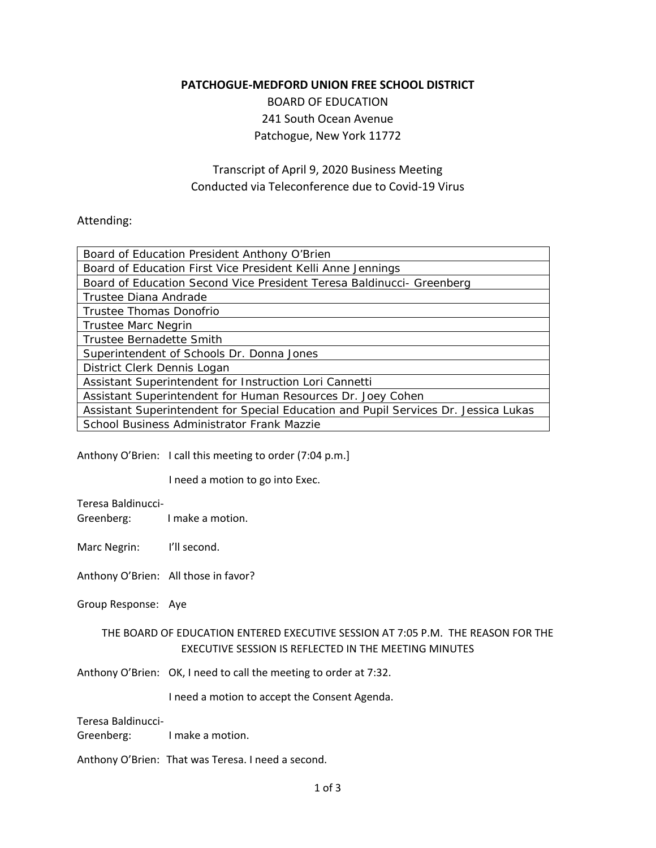## **PATCHOGUE‐MEDFORD UNION FREE SCHOOL DISTRICT**

BOARD OF EDUCATION 241 South Ocean Avenue Patchogue, New York 11772

## Transcript of April 9, 2020 Business Meeting Conducted via Teleconference due to Covid‐19 Virus

## Attending:

| Board of Education President Anthony O'Brien                                        |
|-------------------------------------------------------------------------------------|
| Board of Education First Vice President Kelli Anne Jennings                         |
| Board of Education Second Vice President Teresa Baldinucci- Greenberg               |
| Trustee Diana Andrade                                                               |
| Trustee Thomas Donofrio                                                             |
| <b>Trustee Marc Negrin</b>                                                          |
| Trustee Bernadette Smith                                                            |
| Superintendent of Schools Dr. Donna Jones                                           |
| District Clerk Dennis Logan                                                         |
| Assistant Superintendent for Instruction Lori Cannetti                              |
| Assistant Superintendent for Human Resources Dr. Joey Cohen                         |
| Assistant Superintendent for Special Education and Pupil Services Dr. Jessica Lukas |
| School Business Administrator Frank Mazzie                                          |

Anthony O'Brien: I call this meeting to order (7:04 p.m.]

**Contract Contract District** I need a motion to go into Exec.

Teresa Baldinucci‐

Greenberg: I make a motion.

Marc Negrin: I'll second.

Anthony O'Brien: All those in favor?

Group Response: Aye

## THE BOARD OF EDUCATION ENTERED EXECUTIVE SESSION AT 7:05 P.M. THE REASON FOR THE EXECUTIVE SESSION IS REFLECTED IN THE MEETING MINUTES

Anthony O'Brien: OK, I need to call the meeting to order at 7:32.

I need a motion to accept the Consent Agenda.

Greenberg: I make a motion. Teresa Baldinucci‐

Anthony O'Brien: That was Teresa. I need a second.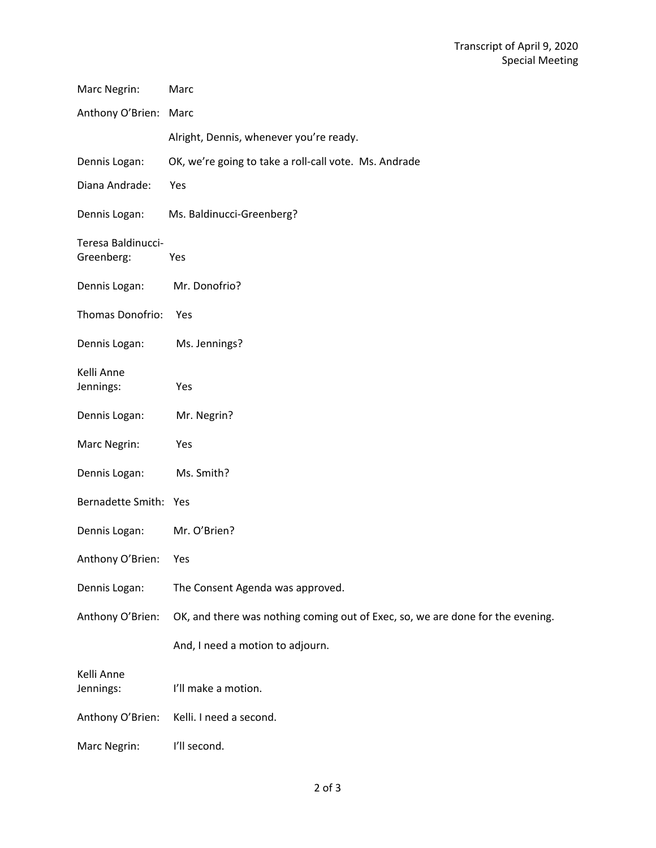| Marc Negrin:                     | Marc                                                                           |
|----------------------------------|--------------------------------------------------------------------------------|
| Anthony O'Brien: Marc            |                                                                                |
|                                  | Alright, Dennis, whenever you're ready.                                        |
| Dennis Logan:                    | OK, we're going to take a roll-call vote. Ms. Andrade                          |
| Diana Andrade:                   | Yes                                                                            |
| Dennis Logan:                    | Ms. Baldinucci-Greenberg?                                                      |
| Teresa Baldinucci-<br>Greenberg: | Yes                                                                            |
| Dennis Logan:                    | Mr. Donofrio?                                                                  |
| Thomas Donofrio:                 | Yes                                                                            |
| Dennis Logan:                    | Ms. Jennings?                                                                  |
| Kelli Anne<br>Jennings:          | Yes                                                                            |
| Dennis Logan:                    | Mr. Negrin?                                                                    |
| Marc Negrin:                     | Yes                                                                            |
| Dennis Logan:                    | Ms. Smith?                                                                     |
| Bernadette Smith: Yes            |                                                                                |
| Dennis Logan:                    | Mr. O'Brien?                                                                   |
| Anthony O'Brien:                 | Yes                                                                            |
| Dennis Logan:                    | The Consent Agenda was approved.                                               |
| Anthony O'Brien:                 | OK, and there was nothing coming out of Exec, so, we are done for the evening. |
|                                  | And, I need a motion to adjourn.                                               |
| Kelli Anne<br>Jennings:          | I'll make a motion.                                                            |
| Anthony O'Brien:                 | Kelli. I need a second.                                                        |
| Marc Negrin:                     | I'll second.                                                                   |